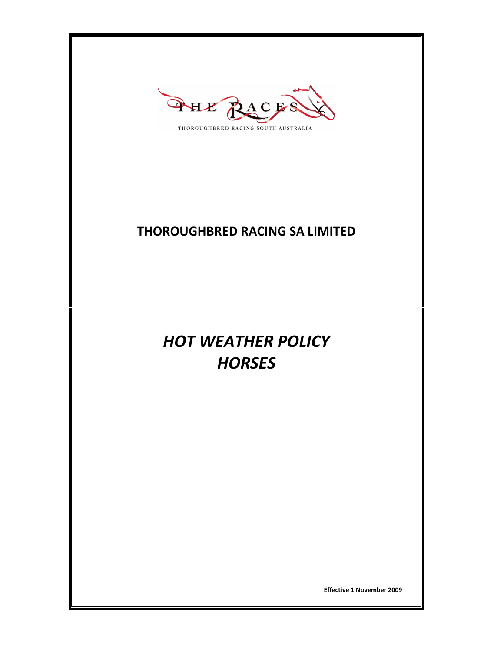

## THOROUGHBRED RACING SA LIMITED

# HOT WEATHER POLICY **HORSES**

Effective 1 November 2009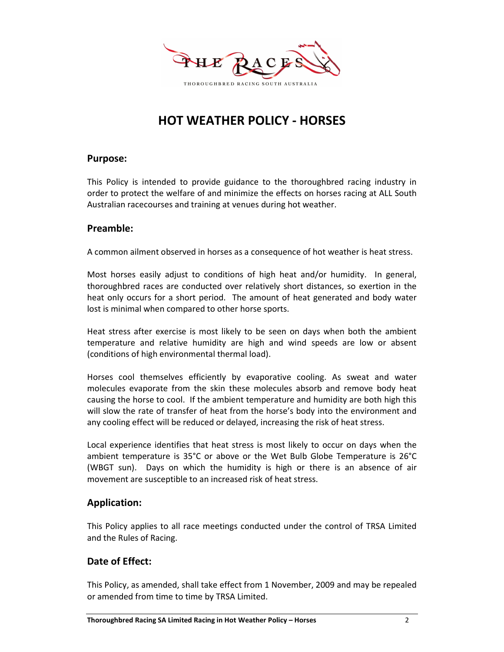

## HOT WEATHER POLICY - HORSES

#### Purpose:

This Policy is intended to provide guidance to the thoroughbred racing industry in order to protect the welfare of and minimize the effects on horses racing at ALL South Australian racecourses and training at venues during hot weather.

#### Preamble:

A common ailment observed in horses as a consequence of hot weather is heat stress.

Most horses easily adjust to conditions of high heat and/or humidity. In general, thoroughbred races are conducted over relatively short distances, so exertion in the heat only occurs for a short period. The amount of heat generated and body water lost is minimal when compared to other horse sports.

Heat stress after exercise is most likely to be seen on days when both the ambient temperature and relative humidity are high and wind speeds are low or absent (conditions of high environmental thermal load).

Horses cool themselves efficiently by evaporative cooling. As sweat and water molecules evaporate from the skin these molecules absorb and remove body heat causing the horse to cool. If the ambient temperature and humidity are both high this will slow the rate of transfer of heat from the horse's body into the environment and any cooling effect will be reduced or delayed, increasing the risk of heat stress.

Local experience identifies that heat stress is most likely to occur on days when the ambient temperature is 35°C or above or the Wet Bulb Globe Temperature is 26°C (WBGT sun). Days on which the humidity is high or there is an absence of air movement are susceptible to an increased risk of heat stress.

#### Application:

This Policy applies to all race meetings conducted under the control of TRSA Limited and the Rules of Racing.

#### Date of Effect:

This Policy, as amended, shall take effect from 1 November, 2009 and may be repealed or amended from time to time by TRSA Limited.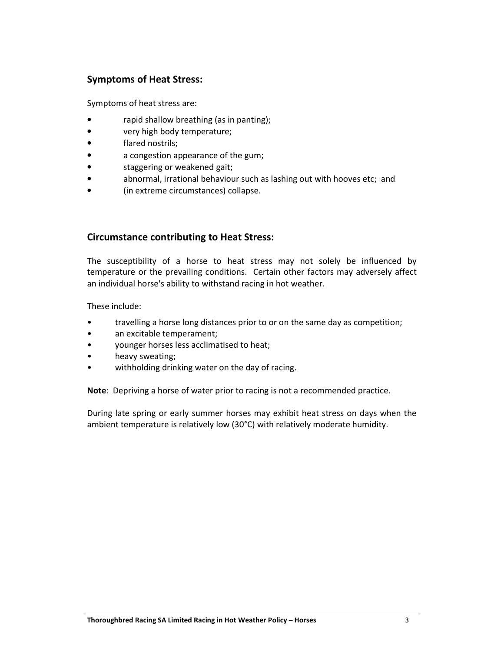#### Symptoms of Heat Stress:

Symptoms of heat stress are:

- rapid shallow breathing (as in panting);
- very high body temperature;
- flared nostrils;
- a congestion appearance of the gum;
- staggering or weakened gait;
- abnormal, irrational behaviour such as lashing out with hooves etc; and
- (in extreme circumstances) collapse.

#### Circumstance contributing to Heat Stress:

The susceptibility of a horse to heat stress may not solely be influenced by temperature or the prevailing conditions. Certain other factors may adversely affect an individual horse's ability to withstand racing in hot weather.

These include:

- travelling a horse long distances prior to or on the same day as competition;
- an excitable temperament;
- younger horses less acclimatised to heat;
- heavy sweating;
- withholding drinking water on the day of racing.

Note: Depriving a horse of water prior to racing is not a recommended practice.

During late spring or early summer horses may exhibit heat stress on days when the ambient temperature is relatively low (30°C) with relatively moderate humidity.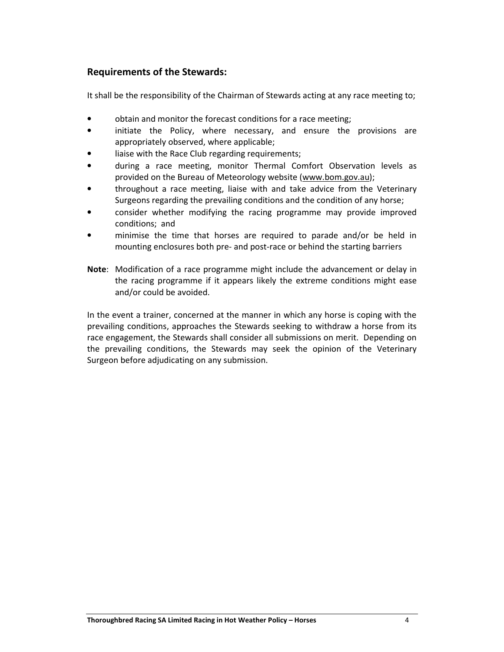#### Requirements of the Stewards:

It shall be the responsibility of the Chairman of Stewards acting at any race meeting to;

- obtain and monitor the forecast conditions for a race meeting;
- initiate the Policy, where necessary, and ensure the provisions are appropriately observed, where applicable;
- liaise with the Race Club regarding requirements;
- during a race meeting, monitor Thermal Comfort Observation levels as provided on the Bureau of Meteorology website (www.bom.gov.au);
- throughout a race meeting, liaise with and take advice from the Veterinary Surgeons regarding the prevailing conditions and the condition of any horse;
- consider whether modifying the racing programme may provide improved conditions; and
- minimise the time that horses are required to parade and/or be held in mounting enclosures both pre- and post-race or behind the starting barriers
- Note: Modification of a race programme might include the advancement or delay in the racing programme if it appears likely the extreme conditions might ease and/or could be avoided.

In the event a trainer, concerned at the manner in which any horse is coping with the prevailing conditions, approaches the Stewards seeking to withdraw a horse from its race engagement, the Stewards shall consider all submissions on merit. Depending on the prevailing conditions, the Stewards may seek the opinion of the Veterinary Surgeon before adjudicating on any submission.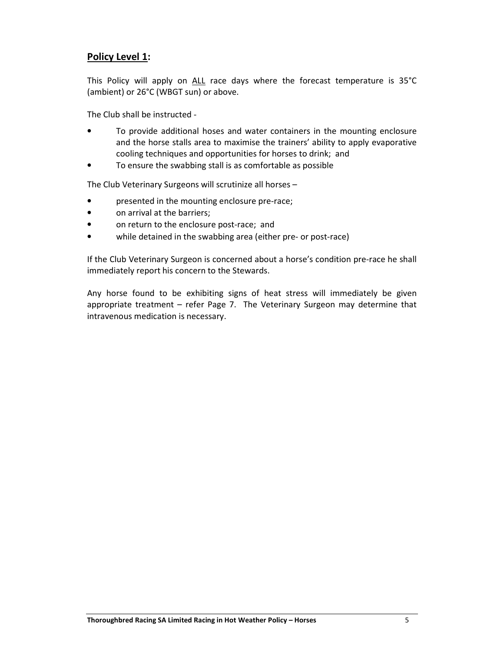#### Policy Level 1:

This Policy will apply on ALL race days where the forecast temperature is 35°C (ambient) or 26°C (WBGT sun) or above.

The Club shall be instructed -

- To provide additional hoses and water containers in the mounting enclosure and the horse stalls area to maximise the trainers' ability to apply evaporative cooling techniques and opportunities for horses to drink; and
- To ensure the swabbing stall is as comfortable as possible

The Club Veterinary Surgeons will scrutinize all horses –

- presented in the mounting enclosure pre-race;
- on arrival at the barriers;
- on return to the enclosure post-race; and
- while detained in the swabbing area (either pre- or post-race)

If the Club Veterinary Surgeon is concerned about a horse's condition pre-race he shall immediately report his concern to the Stewards.

Any horse found to be exhibiting signs of heat stress will immediately be given appropriate treatment – refer Page 7. The Veterinary Surgeon may determine that intravenous medication is necessary.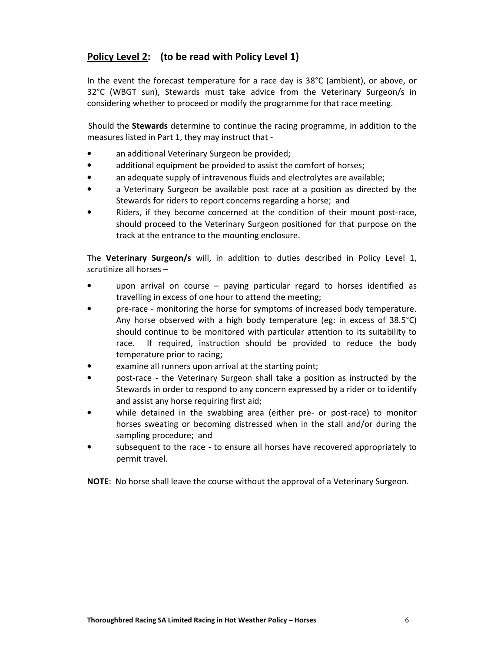### Policy Level 2: (to be read with Policy Level 1)

In the event the forecast temperature for a race day is 38°C (ambient), or above, or 32°C (WBGT sun), Stewards must take advice from the Veterinary Surgeon/s in considering whether to proceed or modify the programme for that race meeting.

Should the Stewards determine to continue the racing programme, in addition to the measures listed in Part 1, they may instruct that -

- an additional Veterinary Surgeon be provided;
- additional equipment be provided to assist the comfort of horses;
- an adequate supply of intravenous fluids and electrolytes are available;
- a Veterinary Surgeon be available post race at a position as directed by the Stewards for riders to report concerns regarding a horse; and
- Riders, if they become concerned at the condition of their mount post-race, should proceed to the Veterinary Surgeon positioned for that purpose on the track at the entrance to the mounting enclosure.

The Veterinary Surgeon/s will, in addition to duties described in Policy Level 1, scrutinize all horses –

- upon arrival on course paying particular regard to horses identified as travelling in excess of one hour to attend the meeting;
- pre-race monitoring the horse for symptoms of increased body temperature. Any horse observed with a high body temperature (eg: in excess of 38.5°C) should continue to be monitored with particular attention to its suitability to race. If required, instruction should be provided to reduce the body temperature prior to racing;
- examine all runners upon arrival at the starting point;
- post-race the Veterinary Surgeon shall take a position as instructed by the Stewards in order to respond to any concern expressed by a rider or to identify and assist any horse requiring first aid;
- while detained in the swabbing area (either pre- or post-race) to monitor horses sweating or becoming distressed when in the stall and/or during the sampling procedure; and
- subsequent to the race to ensure all horses have recovered appropriately to permit travel.

NOTE: No horse shall leave the course without the approval of a Veterinary Surgeon.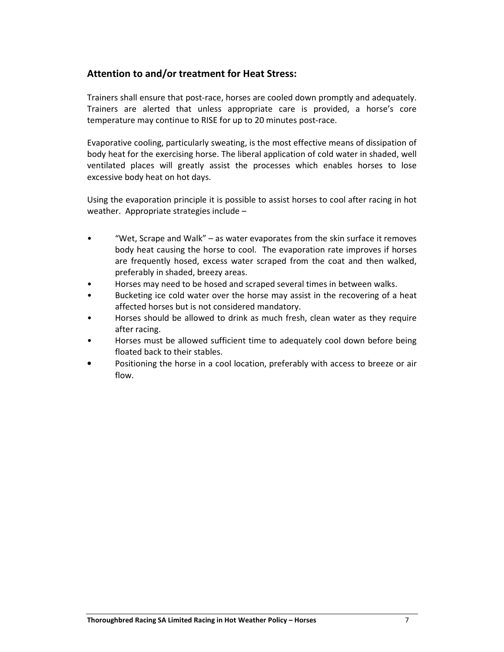#### Attention to and/or treatment for Heat Stress:

Trainers shall ensure that post-race, horses are cooled down promptly and adequately. Trainers are alerted that unless appropriate care is provided, a horse's core temperature may continue to RISE for up to 20 minutes post-race.

Evaporative cooling, particularly sweating, is the most effective means of dissipation of body heat for the exercising horse. The liberal application of cold water in shaded, well ventilated places will greatly assist the processes which enables horses to lose excessive body heat on hot days.

Using the evaporation principle it is possible to assist horses to cool after racing in hot weather. Appropriate strategies include –

- "Wet, Scrape and Walk" as water evaporates from the skin surface it removes body heat causing the horse to cool. The evaporation rate improves if horses are frequently hosed, excess water scraped from the coat and then walked, preferably in shaded, breezy areas.
- Horses may need to be hosed and scraped several times in between walks.
- Bucketing ice cold water over the horse may assist in the recovering of a heat affected horses but is not considered mandatory.
- Horses should be allowed to drink as much fresh, clean water as they require after racing.
- Horses must be allowed sufficient time to adequately cool down before being floated back to their stables.
- Positioning the horse in a cool location, preferably with access to breeze or air flow.